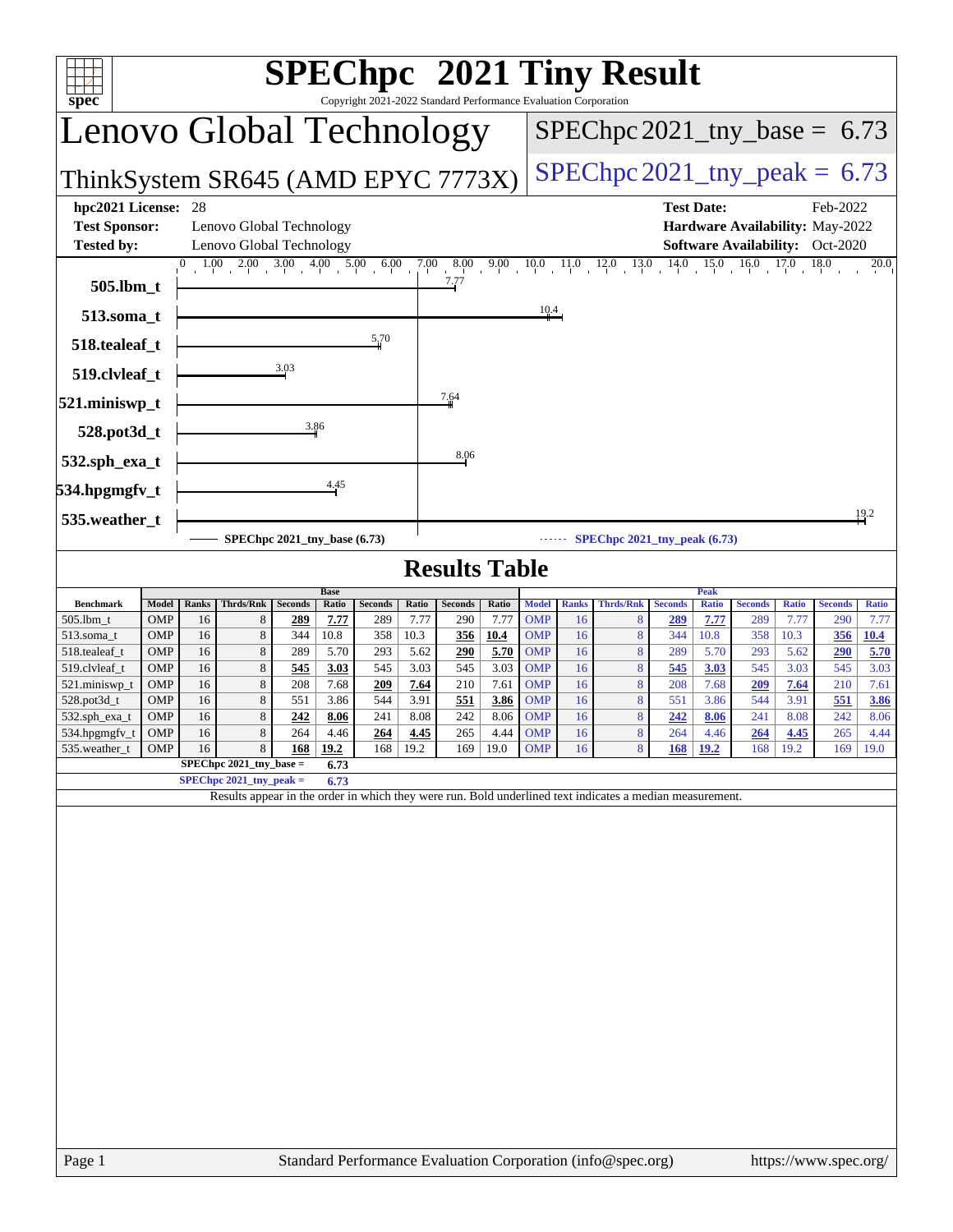| Lenovo Global Technology<br>$SPEC$ hpc 2021_tny_base = 6.73<br>$SPEC$ hpc 2021_tny_peak = 6.73<br>ThinkSystem SR645 (AMD EPYC 7773X)<br>hpc2021 License:<br><b>Test Date:</b><br>Feb-2022<br>28<br><b>Test Sponsor:</b><br>Lenovo Global Technology<br>Hardware Availability: May-2022<br><b>Tested by:</b><br>Lenovo Global Technology<br><b>Software Availability:</b> Oct-2020<br>$1.00$ $2.00$ $3.00$ $4.00$ $5.00$ $6.00$ $7.00$ $8.00$ $9.00$ $10.0$ $11.0$ $12.0$ $13.0$ $14.0$ $15.0$ $16.0$ $17.0$ $18.0$<br>20.0<br>7.77<br>505.lbm_t<br>10.4<br>513.soma_t<br>5,70<br>518.tealeaf_t<br>3.03<br>519.clvleaf_t<br>7.64<br>521.miniswp_t<br>3.86<br>528.pot3d_t<br>8.06<br>532.sph_exa_t<br>4.45<br>534.hpgmgfv_t<br>19.2<br>535.weather_t<br>SPEChpc $2021$ _tny_peak $(6.73)$<br>SPEChpc 2021_tny_base (6.73)<br><b>Results Table</b><br><b>Peak</b><br><b>Base</b><br>Model<br><b>Thrds/Rnk</b><br>Ratio<br><b>Thrds/Rnk</b><br><b>Benchmark</b><br>Ranks<br><b>Seconds</b><br><b>Seconds</b><br>Ratio<br><b>Seconds</b><br>Ratio<br><b>Model</b><br><b>Ranks</b><br><b>Seconds</b><br><b>Ratio</b><br><b>Seconds</b><br><b>Ratio</b><br><b>Seconds</b><br><b>Ratio</b><br>OMP<br>7.77<br>7.77<br>290<br>7.77<br><b>OMP</b><br>7.77<br>7.77<br>505.1bm_t<br>16<br>8<br>289<br>289<br>16<br>289<br>7.77<br>289<br>290<br>8<br>8<br>OMP<br>16<br>10.8<br>358<br>10.3<br>356<br>10.4<br><b>OMP</b><br>16<br>8<br>358<br>10.3<br>356<br>10.4<br>513.soma_t<br>344<br>344<br>10.8<br>8<br>5.70<br>OMP<br>289<br>5.70<br>293<br>5.62<br>290<br><b>OMP</b><br>8<br>289<br>5.70<br>293<br>5.62<br>290<br>5.70<br>518.tealeaf_t<br>16<br>16<br>8<br>8<br>16<br>545<br>3.03<br>545<br>3.03<br><b>OMP</b><br>16<br>545<br>545<br>3.03<br>545<br>3.03<br>519.clvleaf_t<br><b>OMP</b><br><u>545</u><br>3.03<br><u>3.03</u><br>8<br>7.61<br>8<br>OMP<br>16<br>208<br>7.68<br>7.64<br>210<br><b>OMP</b><br>16<br>7.68<br>7.64<br>210<br>7.61<br>521.miniswp_t<br>209<br>208<br>209<br>8<br>8<br>551<br>OMP<br>16<br>551<br>3.86<br>544<br>3.91<br>551<br>3.86<br><b>OMP</b><br>16<br>551<br>3.86<br>544<br>3.91<br>3.86<br>528.pot3d_t<br>8<br>8<br>OMP<br>16<br>242<br>8.06<br>241<br>8.08<br>242<br>8.06<br><b>OMP</b><br>242<br>241<br>8.08<br>242<br>532.sph_exa_t<br>16<br>8.06<br>8<br>8<br>4.44<br><b>OMP</b><br>265<br>OMP<br>16<br>264<br>4.46<br>4.45<br>265<br>16<br>264<br>4.45<br>4.44<br>534.hpgmgfv_t<br><u> 264</u><br>4.46<br><u>264</u><br>535.weather_t OMP<br>16<br>$168$ 19.2<br>168 19.2<br>$169$ 19.0<br>OMP<br>168<br>19.2<br>168 19.2<br>$169$ 19.0<br>$\sim$ 8<br>16<br>8<br>SPEChpc 2021_tny_base =<br>6.73<br>$SPEC$ hpc 2021_tny_peak =<br>6.73<br>Results appear in the order in which they were run. Bold underlined text indicates a median measurement. | $SPEC$ hpc <sup>™</sup> 2021 Tiny Result<br>ĦТ<br>Copyright 2021-2022 Standard Performance Evaluation Corporation<br>$spec^*$ |  |  |  |  |  |  |  |  |  |  |  |  |      |
|--------------------------------------------------------------------------------------------------------------------------------------------------------------------------------------------------------------------------------------------------------------------------------------------------------------------------------------------------------------------------------------------------------------------------------------------------------------------------------------------------------------------------------------------------------------------------------------------------------------------------------------------------------------------------------------------------------------------------------------------------------------------------------------------------------------------------------------------------------------------------------------------------------------------------------------------------------------------------------------------------------------------------------------------------------------------------------------------------------------------------------------------------------------------------------------------------------------------------------------------------------------------------------------------------------------------------------------------------------------------------------------------------------------------------------------------------------------------------------------------------------------------------------------------------------------------------------------------------------------------------------------------------------------------------------------------------------------------------------------------------------------------------------------------------------------------------------------------------------------------------------------------------------------------------------------------------------------------------------------------------------------------------------------------------------------------------------------------------------------------------------------------------------------------------------------------------------------------------------------------------------------------------------------------------------------------------------------------------------------------------------------------------------------------------------------------------------------------------------------------------------------------------------------------------------------------------------------------------------------------------------------------------------------------------------------------------------------------------------------------------------------------------------------|-------------------------------------------------------------------------------------------------------------------------------|--|--|--|--|--|--|--|--|--|--|--|--|------|
|                                                                                                                                                                                                                                                                                                                                                                                                                                                                                                                                                                                                                                                                                                                                                                                                                                                                                                                                                                                                                                                                                                                                                                                                                                                                                                                                                                                                                                                                                                                                                                                                                                                                                                                                                                                                                                                                                                                                                                                                                                                                                                                                                                                                                                                                                                                                                                                                                                                                                                                                                                                                                                                                                                                                                                                      |                                                                                                                               |  |  |  |  |  |  |  |  |  |  |  |  |      |
|                                                                                                                                                                                                                                                                                                                                                                                                                                                                                                                                                                                                                                                                                                                                                                                                                                                                                                                                                                                                                                                                                                                                                                                                                                                                                                                                                                                                                                                                                                                                                                                                                                                                                                                                                                                                                                                                                                                                                                                                                                                                                                                                                                                                                                                                                                                                                                                                                                                                                                                                                                                                                                                                                                                                                                                      |                                                                                                                               |  |  |  |  |  |  |  |  |  |  |  |  |      |
|                                                                                                                                                                                                                                                                                                                                                                                                                                                                                                                                                                                                                                                                                                                                                                                                                                                                                                                                                                                                                                                                                                                                                                                                                                                                                                                                                                                                                                                                                                                                                                                                                                                                                                                                                                                                                                                                                                                                                                                                                                                                                                                                                                                                                                                                                                                                                                                                                                                                                                                                                                                                                                                                                                                                                                                      |                                                                                                                               |  |  |  |  |  |  |  |  |  |  |  |  |      |
|                                                                                                                                                                                                                                                                                                                                                                                                                                                                                                                                                                                                                                                                                                                                                                                                                                                                                                                                                                                                                                                                                                                                                                                                                                                                                                                                                                                                                                                                                                                                                                                                                                                                                                                                                                                                                                                                                                                                                                                                                                                                                                                                                                                                                                                                                                                                                                                                                                                                                                                                                                                                                                                                                                                                                                                      |                                                                                                                               |  |  |  |  |  |  |  |  |  |  |  |  |      |
|                                                                                                                                                                                                                                                                                                                                                                                                                                                                                                                                                                                                                                                                                                                                                                                                                                                                                                                                                                                                                                                                                                                                                                                                                                                                                                                                                                                                                                                                                                                                                                                                                                                                                                                                                                                                                                                                                                                                                                                                                                                                                                                                                                                                                                                                                                                                                                                                                                                                                                                                                                                                                                                                                                                                                                                      |                                                                                                                               |  |  |  |  |  |  |  |  |  |  |  |  |      |
|                                                                                                                                                                                                                                                                                                                                                                                                                                                                                                                                                                                                                                                                                                                                                                                                                                                                                                                                                                                                                                                                                                                                                                                                                                                                                                                                                                                                                                                                                                                                                                                                                                                                                                                                                                                                                                                                                                                                                                                                                                                                                                                                                                                                                                                                                                                                                                                                                                                                                                                                                                                                                                                                                                                                                                                      |                                                                                                                               |  |  |  |  |  |  |  |  |  |  |  |  |      |
|                                                                                                                                                                                                                                                                                                                                                                                                                                                                                                                                                                                                                                                                                                                                                                                                                                                                                                                                                                                                                                                                                                                                                                                                                                                                                                                                                                                                                                                                                                                                                                                                                                                                                                                                                                                                                                                                                                                                                                                                                                                                                                                                                                                                                                                                                                                                                                                                                                                                                                                                                                                                                                                                                                                                                                                      |                                                                                                                               |  |  |  |  |  |  |  |  |  |  |  |  |      |
|                                                                                                                                                                                                                                                                                                                                                                                                                                                                                                                                                                                                                                                                                                                                                                                                                                                                                                                                                                                                                                                                                                                                                                                                                                                                                                                                                                                                                                                                                                                                                                                                                                                                                                                                                                                                                                                                                                                                                                                                                                                                                                                                                                                                                                                                                                                                                                                                                                                                                                                                                                                                                                                                                                                                                                                      |                                                                                                                               |  |  |  |  |  |  |  |  |  |  |  |  |      |
|                                                                                                                                                                                                                                                                                                                                                                                                                                                                                                                                                                                                                                                                                                                                                                                                                                                                                                                                                                                                                                                                                                                                                                                                                                                                                                                                                                                                                                                                                                                                                                                                                                                                                                                                                                                                                                                                                                                                                                                                                                                                                                                                                                                                                                                                                                                                                                                                                                                                                                                                                                                                                                                                                                                                                                                      |                                                                                                                               |  |  |  |  |  |  |  |  |  |  |  |  |      |
|                                                                                                                                                                                                                                                                                                                                                                                                                                                                                                                                                                                                                                                                                                                                                                                                                                                                                                                                                                                                                                                                                                                                                                                                                                                                                                                                                                                                                                                                                                                                                                                                                                                                                                                                                                                                                                                                                                                                                                                                                                                                                                                                                                                                                                                                                                                                                                                                                                                                                                                                                                                                                                                                                                                                                                                      |                                                                                                                               |  |  |  |  |  |  |  |  |  |  |  |  |      |
|                                                                                                                                                                                                                                                                                                                                                                                                                                                                                                                                                                                                                                                                                                                                                                                                                                                                                                                                                                                                                                                                                                                                                                                                                                                                                                                                                                                                                                                                                                                                                                                                                                                                                                                                                                                                                                                                                                                                                                                                                                                                                                                                                                                                                                                                                                                                                                                                                                                                                                                                                                                                                                                                                                                                                                                      |                                                                                                                               |  |  |  |  |  |  |  |  |  |  |  |  |      |
|                                                                                                                                                                                                                                                                                                                                                                                                                                                                                                                                                                                                                                                                                                                                                                                                                                                                                                                                                                                                                                                                                                                                                                                                                                                                                                                                                                                                                                                                                                                                                                                                                                                                                                                                                                                                                                                                                                                                                                                                                                                                                                                                                                                                                                                                                                                                                                                                                                                                                                                                                                                                                                                                                                                                                                                      |                                                                                                                               |  |  |  |  |  |  |  |  |  |  |  |  |      |
|                                                                                                                                                                                                                                                                                                                                                                                                                                                                                                                                                                                                                                                                                                                                                                                                                                                                                                                                                                                                                                                                                                                                                                                                                                                                                                                                                                                                                                                                                                                                                                                                                                                                                                                                                                                                                                                                                                                                                                                                                                                                                                                                                                                                                                                                                                                                                                                                                                                                                                                                                                                                                                                                                                                                                                                      |                                                                                                                               |  |  |  |  |  |  |  |  |  |  |  |  |      |
|                                                                                                                                                                                                                                                                                                                                                                                                                                                                                                                                                                                                                                                                                                                                                                                                                                                                                                                                                                                                                                                                                                                                                                                                                                                                                                                                                                                                                                                                                                                                                                                                                                                                                                                                                                                                                                                                                                                                                                                                                                                                                                                                                                                                                                                                                                                                                                                                                                                                                                                                                                                                                                                                                                                                                                                      |                                                                                                                               |  |  |  |  |  |  |  |  |  |  |  |  |      |
|                                                                                                                                                                                                                                                                                                                                                                                                                                                                                                                                                                                                                                                                                                                                                                                                                                                                                                                                                                                                                                                                                                                                                                                                                                                                                                                                                                                                                                                                                                                                                                                                                                                                                                                                                                                                                                                                                                                                                                                                                                                                                                                                                                                                                                                                                                                                                                                                                                                                                                                                                                                                                                                                                                                                                                                      |                                                                                                                               |  |  |  |  |  |  |  |  |  |  |  |  |      |
|                                                                                                                                                                                                                                                                                                                                                                                                                                                                                                                                                                                                                                                                                                                                                                                                                                                                                                                                                                                                                                                                                                                                                                                                                                                                                                                                                                                                                                                                                                                                                                                                                                                                                                                                                                                                                                                                                                                                                                                                                                                                                                                                                                                                                                                                                                                                                                                                                                                                                                                                                                                                                                                                                                                                                                                      |                                                                                                                               |  |  |  |  |  |  |  |  |  |  |  |  |      |
|                                                                                                                                                                                                                                                                                                                                                                                                                                                                                                                                                                                                                                                                                                                                                                                                                                                                                                                                                                                                                                                                                                                                                                                                                                                                                                                                                                                                                                                                                                                                                                                                                                                                                                                                                                                                                                                                                                                                                                                                                                                                                                                                                                                                                                                                                                                                                                                                                                                                                                                                                                                                                                                                                                                                                                                      |                                                                                                                               |  |  |  |  |  |  |  |  |  |  |  |  |      |
|                                                                                                                                                                                                                                                                                                                                                                                                                                                                                                                                                                                                                                                                                                                                                                                                                                                                                                                                                                                                                                                                                                                                                                                                                                                                                                                                                                                                                                                                                                                                                                                                                                                                                                                                                                                                                                                                                                                                                                                                                                                                                                                                                                                                                                                                                                                                                                                                                                                                                                                                                                                                                                                                                                                                                                                      |                                                                                                                               |  |  |  |  |  |  |  |  |  |  |  |  |      |
|                                                                                                                                                                                                                                                                                                                                                                                                                                                                                                                                                                                                                                                                                                                                                                                                                                                                                                                                                                                                                                                                                                                                                                                                                                                                                                                                                                                                                                                                                                                                                                                                                                                                                                                                                                                                                                                                                                                                                                                                                                                                                                                                                                                                                                                                                                                                                                                                                                                                                                                                                                                                                                                                                                                                                                                      |                                                                                                                               |  |  |  |  |  |  |  |  |  |  |  |  |      |
|                                                                                                                                                                                                                                                                                                                                                                                                                                                                                                                                                                                                                                                                                                                                                                                                                                                                                                                                                                                                                                                                                                                                                                                                                                                                                                                                                                                                                                                                                                                                                                                                                                                                                                                                                                                                                                                                                                                                                                                                                                                                                                                                                                                                                                                                                                                                                                                                                                                                                                                                                                                                                                                                                                                                                                                      |                                                                                                                               |  |  |  |  |  |  |  |  |  |  |  |  |      |
|                                                                                                                                                                                                                                                                                                                                                                                                                                                                                                                                                                                                                                                                                                                                                                                                                                                                                                                                                                                                                                                                                                                                                                                                                                                                                                                                                                                                                                                                                                                                                                                                                                                                                                                                                                                                                                                                                                                                                                                                                                                                                                                                                                                                                                                                                                                                                                                                                                                                                                                                                                                                                                                                                                                                                                                      |                                                                                                                               |  |  |  |  |  |  |  |  |  |  |  |  |      |
|                                                                                                                                                                                                                                                                                                                                                                                                                                                                                                                                                                                                                                                                                                                                                                                                                                                                                                                                                                                                                                                                                                                                                                                                                                                                                                                                                                                                                                                                                                                                                                                                                                                                                                                                                                                                                                                                                                                                                                                                                                                                                                                                                                                                                                                                                                                                                                                                                                                                                                                                                                                                                                                                                                                                                                                      |                                                                                                                               |  |  |  |  |  |  |  |  |  |  |  |  | 8.06 |
|                                                                                                                                                                                                                                                                                                                                                                                                                                                                                                                                                                                                                                                                                                                                                                                                                                                                                                                                                                                                                                                                                                                                                                                                                                                                                                                                                                                                                                                                                                                                                                                                                                                                                                                                                                                                                                                                                                                                                                                                                                                                                                                                                                                                                                                                                                                                                                                                                                                                                                                                                                                                                                                                                                                                                                                      |                                                                                                                               |  |  |  |  |  |  |  |  |  |  |  |  |      |
|                                                                                                                                                                                                                                                                                                                                                                                                                                                                                                                                                                                                                                                                                                                                                                                                                                                                                                                                                                                                                                                                                                                                                                                                                                                                                                                                                                                                                                                                                                                                                                                                                                                                                                                                                                                                                                                                                                                                                                                                                                                                                                                                                                                                                                                                                                                                                                                                                                                                                                                                                                                                                                                                                                                                                                                      |                                                                                                                               |  |  |  |  |  |  |  |  |  |  |  |  |      |
|                                                                                                                                                                                                                                                                                                                                                                                                                                                                                                                                                                                                                                                                                                                                                                                                                                                                                                                                                                                                                                                                                                                                                                                                                                                                                                                                                                                                                                                                                                                                                                                                                                                                                                                                                                                                                                                                                                                                                                                                                                                                                                                                                                                                                                                                                                                                                                                                                                                                                                                                                                                                                                                                                                                                                                                      |                                                                                                                               |  |  |  |  |  |  |  |  |  |  |  |  |      |
|                                                                                                                                                                                                                                                                                                                                                                                                                                                                                                                                                                                                                                                                                                                                                                                                                                                                                                                                                                                                                                                                                                                                                                                                                                                                                                                                                                                                                                                                                                                                                                                                                                                                                                                                                                                                                                                                                                                                                                                                                                                                                                                                                                                                                                                                                                                                                                                                                                                                                                                                                                                                                                                                                                                                                                                      |                                                                                                                               |  |  |  |  |  |  |  |  |  |  |  |  |      |
| Page 1<br>Standard Performance Evaluation Corporation (info@spec.org)<br>https://www.spec.org/                                                                                                                                                                                                                                                                                                                                                                                                                                                                                                                                                                                                                                                                                                                                                                                                                                                                                                                                                                                                                                                                                                                                                                                                                                                                                                                                                                                                                                                                                                                                                                                                                                                                                                                                                                                                                                                                                                                                                                                                                                                                                                                                                                                                                                                                                                                                                                                                                                                                                                                                                                                                                                                                                       |                                                                                                                               |  |  |  |  |  |  |  |  |  |  |  |  |      |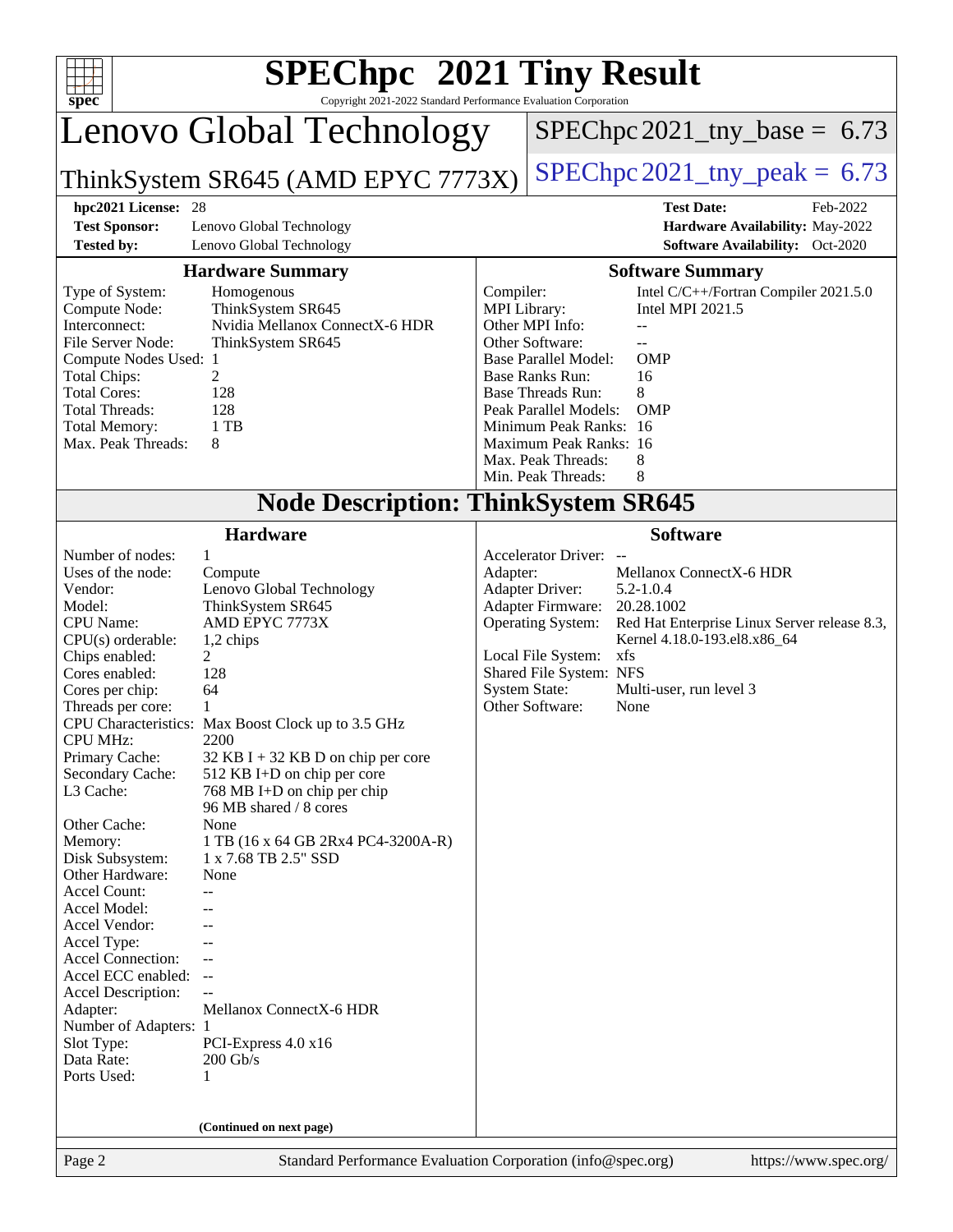| $SPEC$ hpc <sup><math>m</math></sup> 2021 Tiny Result<br>spec<br>Copyright 2021-2022 Standard Performance Evaluation Corporation                                                                                                                                                                                                                                                                                                                                                                                                                 |                                                                                                                                                                                                                                                                                                                                                                                                                                                                            |                           |                                                                                                                                                                                                                                                                                                                                                                                          |  |  |  |  |
|--------------------------------------------------------------------------------------------------------------------------------------------------------------------------------------------------------------------------------------------------------------------------------------------------------------------------------------------------------------------------------------------------------------------------------------------------------------------------------------------------------------------------------------------------|----------------------------------------------------------------------------------------------------------------------------------------------------------------------------------------------------------------------------------------------------------------------------------------------------------------------------------------------------------------------------------------------------------------------------------------------------------------------------|---------------------------|------------------------------------------------------------------------------------------------------------------------------------------------------------------------------------------------------------------------------------------------------------------------------------------------------------------------------------------------------------------------------------------|--|--|--|--|
|                                                                                                                                                                                                                                                                                                                                                                                                                                                                                                                                                  | Lenovo Global Technology                                                                                                                                                                                                                                                                                                                                                                                                                                                   |                           | $SPEC$ hpc 2021_tny_base = 6.73                                                                                                                                                                                                                                                                                                                                                          |  |  |  |  |
|                                                                                                                                                                                                                                                                                                                                                                                                                                                                                                                                                  | ThinkSystem SR645 (AMD EPYC 7773X)                                                                                                                                                                                                                                                                                                                                                                                                                                         |                           | $SPEC$ hpc 2021_tny_peak = 6.73                                                                                                                                                                                                                                                                                                                                                          |  |  |  |  |
| hpc2021 License: 28                                                                                                                                                                                                                                                                                                                                                                                                                                                                                                                              |                                                                                                                                                                                                                                                                                                                                                                                                                                                                            |                           | <b>Test Date:</b><br>Feb-2022                                                                                                                                                                                                                                                                                                                                                            |  |  |  |  |
| <b>Test Sponsor:</b><br><b>Tested by:</b>                                                                                                                                                                                                                                                                                                                                                                                                                                                                                                        | Lenovo Global Technology<br>Lenovo Global Technology                                                                                                                                                                                                                                                                                                                                                                                                                       |                           | Hardware Availability: May-2022<br>Software Availability: Oct-2020                                                                                                                                                                                                                                                                                                                       |  |  |  |  |
|                                                                                                                                                                                                                                                                                                                                                                                                                                                                                                                                                  | <b>Hardware Summary</b>                                                                                                                                                                                                                                                                                                                                                                                                                                                    |                           | <b>Software Summary</b>                                                                                                                                                                                                                                                                                                                                                                  |  |  |  |  |
| Type of System:<br>Compute Node:<br>Interconnect:<br>File Server Node:<br>Compute Nodes Used: 1<br><b>Total Chips:</b><br><b>Total Cores:</b><br><b>Total Threads:</b><br><b>Total Memory:</b><br>Max. Peak Threads:                                                                                                                                                                                                                                                                                                                             | Homogenous<br>ThinkSystem SR645<br>Nvidia Mellanox ConnectX-6 HDR<br>ThinkSystem SR645<br>2<br>128<br>128<br>1 TB<br>8                                                                                                                                                                                                                                                                                                                                                     | Compiler:<br>MPI Library: | Intel C/C++/Fortran Compiler 2021.5.0<br>Intel MPI 2021.5<br>Other MPI Info:<br>$-$<br>Other Software:<br>$-$<br><b>Base Parallel Model:</b><br><b>OMP</b><br><b>Base Ranks Run:</b><br>16<br><b>Base Threads Run:</b><br>8<br>Peak Parallel Models:<br><b>OMP</b><br>Minimum Peak Ranks: 16<br>Maximum Peak Ranks: 16<br>Max. Peak Threads:<br>8<br>Min. Peak Threads:<br>8             |  |  |  |  |
|                                                                                                                                                                                                                                                                                                                                                                                                                                                                                                                                                  | <b>Node Description: ThinkSystem SR645</b>                                                                                                                                                                                                                                                                                                                                                                                                                                 |                           |                                                                                                                                                                                                                                                                                                                                                                                          |  |  |  |  |
|                                                                                                                                                                                                                                                                                                                                                                                                                                                                                                                                                  | <b>Hardware</b>                                                                                                                                                                                                                                                                                                                                                                                                                                                            |                           | <b>Software</b>                                                                                                                                                                                                                                                                                                                                                                          |  |  |  |  |
| Number of nodes:<br>Uses of the node:<br>Vendor:<br>Model:<br><b>CPU</b> Name:<br>$CPU(s)$ orderable:<br>Chips enabled:<br>Cores enabled:<br>Cores per chip:<br>Threads per core:<br><b>CPU MHz:</b><br>Primary Cache:<br>Secondary Cache:<br>L3 Cache:<br>Other Cache:<br>Memory:<br>Disk Subsystem:<br>Other Hardware:<br><b>Accel Count:</b><br>Accel Model:<br>Accel Vendor:<br>Accel Type:<br>Accel Connection:<br>Accel ECC enabled:<br>Accel Description:<br>Adapter:<br>Number of Adapters: 1<br>Slot Type:<br>Data Rate:<br>Ports Used: | 1<br>Compute<br>Lenovo Global Technology<br>ThinkSystem SR645<br>AMD EPYC 7773X<br>1,2 chips<br>2<br>128<br>64<br>1<br>CPU Characteristics: Max Boost Clock up to 3.5 GHz<br>2200<br>$32$ KB I + 32 KB D on chip per core<br>512 KB I+D on chip per core<br>768 MB I+D on chip per chip<br>96 MB shared / 8 cores<br>None<br>1 TB (16 x 64 GB 2Rx4 PC4-3200A-R)<br>1 x 7.68 TB 2.5" SSD<br>None<br>--<br>Mellanox ConnectX-6 HDR<br>PCI-Express 4.0 x16<br>$200$ Gb/s<br>1 | Adapter:                  | Accelerator Driver: --<br>Mellanox ConnectX-6 HDR<br><b>Adapter Driver:</b><br>$5.2 - 1.0.4$<br><b>Adapter Firmware:</b><br>20.28.1002<br>Red Hat Enterprise Linux Server release 8.3,<br><b>Operating System:</b><br>Kernel 4.18.0-193.el8.x86_64<br>Local File System:<br>xfs<br>Shared File System: NFS<br><b>System State:</b><br>Multi-user, run level 3<br>Other Software:<br>None |  |  |  |  |
|                                                                                                                                                                                                                                                                                                                                                                                                                                                                                                                                                  | (Continued on next page)                                                                                                                                                                                                                                                                                                                                                                                                                                                   |                           |                                                                                                                                                                                                                                                                                                                                                                                          |  |  |  |  |
| Page 2                                                                                                                                                                                                                                                                                                                                                                                                                                                                                                                                           | Standard Performance Evaluation Corporation (info@spec.org)                                                                                                                                                                                                                                                                                                                                                                                                                | https://www.spec.org/     |                                                                                                                                                                                                                                                                                                                                                                                          |  |  |  |  |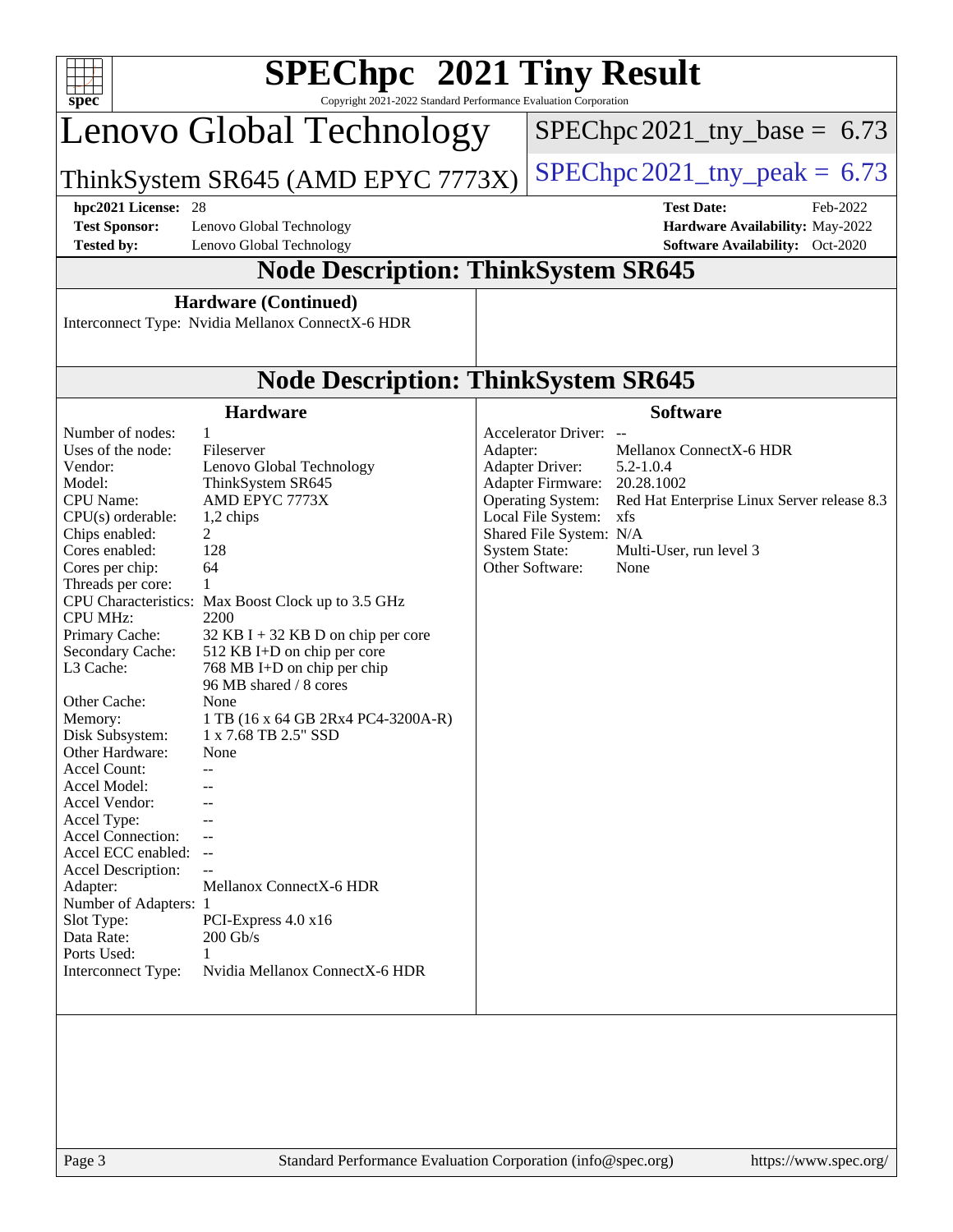| $spec^*$                                                                                                                                                                                                                                                                                                                                                                                                                                                                      | $SPEC$ hpc <sup>™</sup> 2021 Tiny Result<br>Copyright 2021-2022 Standard Performance Evaluation Corporation                                                                                                                                                                                                                                                                                                                                         |          |                                                                                                                                                                                                                                                                                                                                                  |  |  |  |  |  |
|-------------------------------------------------------------------------------------------------------------------------------------------------------------------------------------------------------------------------------------------------------------------------------------------------------------------------------------------------------------------------------------------------------------------------------------------------------------------------------|-----------------------------------------------------------------------------------------------------------------------------------------------------------------------------------------------------------------------------------------------------------------------------------------------------------------------------------------------------------------------------------------------------------------------------------------------------|----------|--------------------------------------------------------------------------------------------------------------------------------------------------------------------------------------------------------------------------------------------------------------------------------------------------------------------------------------------------|--|--|--|--|--|
|                                                                                                                                                                                                                                                                                                                                                                                                                                                                               | Lenovo Global Technology                                                                                                                                                                                                                                                                                                                                                                                                                            |          | $SPEC$ hpc 2021_tny_base = 6.73                                                                                                                                                                                                                                                                                                                  |  |  |  |  |  |
|                                                                                                                                                                                                                                                                                                                                                                                                                                                                               | ThinkSystem SR645 (AMD EPYC 7773X)                                                                                                                                                                                                                                                                                                                                                                                                                  |          | $SPEC$ hpc 2021_tny_peak = 6.73                                                                                                                                                                                                                                                                                                                  |  |  |  |  |  |
| hpc2021 License: 28                                                                                                                                                                                                                                                                                                                                                                                                                                                           |                                                                                                                                                                                                                                                                                                                                                                                                                                                     |          | <b>Test Date:</b><br>Feb-2022                                                                                                                                                                                                                                                                                                                    |  |  |  |  |  |
| <b>Test Sponsor:</b><br><b>Tested by:</b>                                                                                                                                                                                                                                                                                                                                                                                                                                     | Lenovo Global Technology<br>Lenovo Global Technology                                                                                                                                                                                                                                                                                                                                                                                                |          | Hardware Availability: May-2022<br>Software Availability: Oct-2020                                                                                                                                                                                                                                                                               |  |  |  |  |  |
|                                                                                                                                                                                                                                                                                                                                                                                                                                                                               | <b>Node Description: ThinkSystem SR645</b>                                                                                                                                                                                                                                                                                                                                                                                                          |          |                                                                                                                                                                                                                                                                                                                                                  |  |  |  |  |  |
|                                                                                                                                                                                                                                                                                                                                                                                                                                                                               | <b>Hardware (Continued)</b>                                                                                                                                                                                                                                                                                                                                                                                                                         |          |                                                                                                                                                                                                                                                                                                                                                  |  |  |  |  |  |
|                                                                                                                                                                                                                                                                                                                                                                                                                                                                               | Interconnect Type: Nvidia Mellanox ConnectX-6 HDR                                                                                                                                                                                                                                                                                                                                                                                                   |          |                                                                                                                                                                                                                                                                                                                                                  |  |  |  |  |  |
|                                                                                                                                                                                                                                                                                                                                                                                                                                                                               | <b>Node Description: ThinkSystem SR645</b>                                                                                                                                                                                                                                                                                                                                                                                                          |          |                                                                                                                                                                                                                                                                                                                                                  |  |  |  |  |  |
|                                                                                                                                                                                                                                                                                                                                                                                                                                                                               | <b>Hardware</b>                                                                                                                                                                                                                                                                                                                                                                                                                                     |          | <b>Software</b>                                                                                                                                                                                                                                                                                                                                  |  |  |  |  |  |
| Number of nodes:<br>Uses of the node:<br>Vendor:<br>Model:<br><b>CPU</b> Name:<br>CPU(s) orderable:<br>Chips enabled:<br>Cores enabled:<br>Cores per chip:<br>Threads per core:<br><b>CPU MHz:</b><br>Primary Cache:<br>Secondary Cache:<br>L3 Cache:<br>Other Cache:<br>Memory:<br>Disk Subsystem:<br>Other Hardware:<br><b>Accel Count:</b><br>Accel Model:<br>Accel Vendor:<br>Accel Type:<br>Accel Connection:<br>Accel ECC enabled: --<br>Accel Description:<br>Adapter: | $\mathbf{1}$<br>Fileserver<br>Lenovo Global Technology<br>ThinkSystem SR645<br>AMD EPYC 7773X<br>1,2 chips<br>$\mathfrak{D}$<br>128<br>64<br>1<br>CPU Characteristics: Max Boost Clock up to 3.5 GHz<br>2200<br>32 KB I + 32 KB D on chip per core<br>512 KB I+D on chip per core<br>768 MB I+D on chip per chip<br>96 MB shared / 8 cores<br>None<br>1 TB (16 x 64 GB 2Rx4 PC4-3200A-R)<br>1 x 7.68 TB 2.5" SSD<br>None<br>Mellanox ConnectX-6 HDR | Adapter: | Accelerator Driver: --<br>Mellanox ConnectX-6 HDR<br><b>Adapter Driver:</b><br>$5.2 - 1.0.4$<br>Adapter Firmware:<br>20.28.1002<br><b>Operating System:</b><br>Red Hat Enterprise Linux Server release 8.3<br>Local File System:<br>xfs<br>Shared File System: N/A<br><b>System State:</b><br>Multi-User, run level 3<br>Other Software:<br>None |  |  |  |  |  |
| Number of Adapters: 1<br>Slot Type:<br>Data Rate:<br>Ports Used:<br>Interconnect Type:                                                                                                                                                                                                                                                                                                                                                                                        | PCI-Express $4.0 \times 16$<br>$200$ Gb/s<br>1<br>Nvidia Mellanox ConnectX-6 HDR                                                                                                                                                                                                                                                                                                                                                                    |          |                                                                                                                                                                                                                                                                                                                                                  |  |  |  |  |  |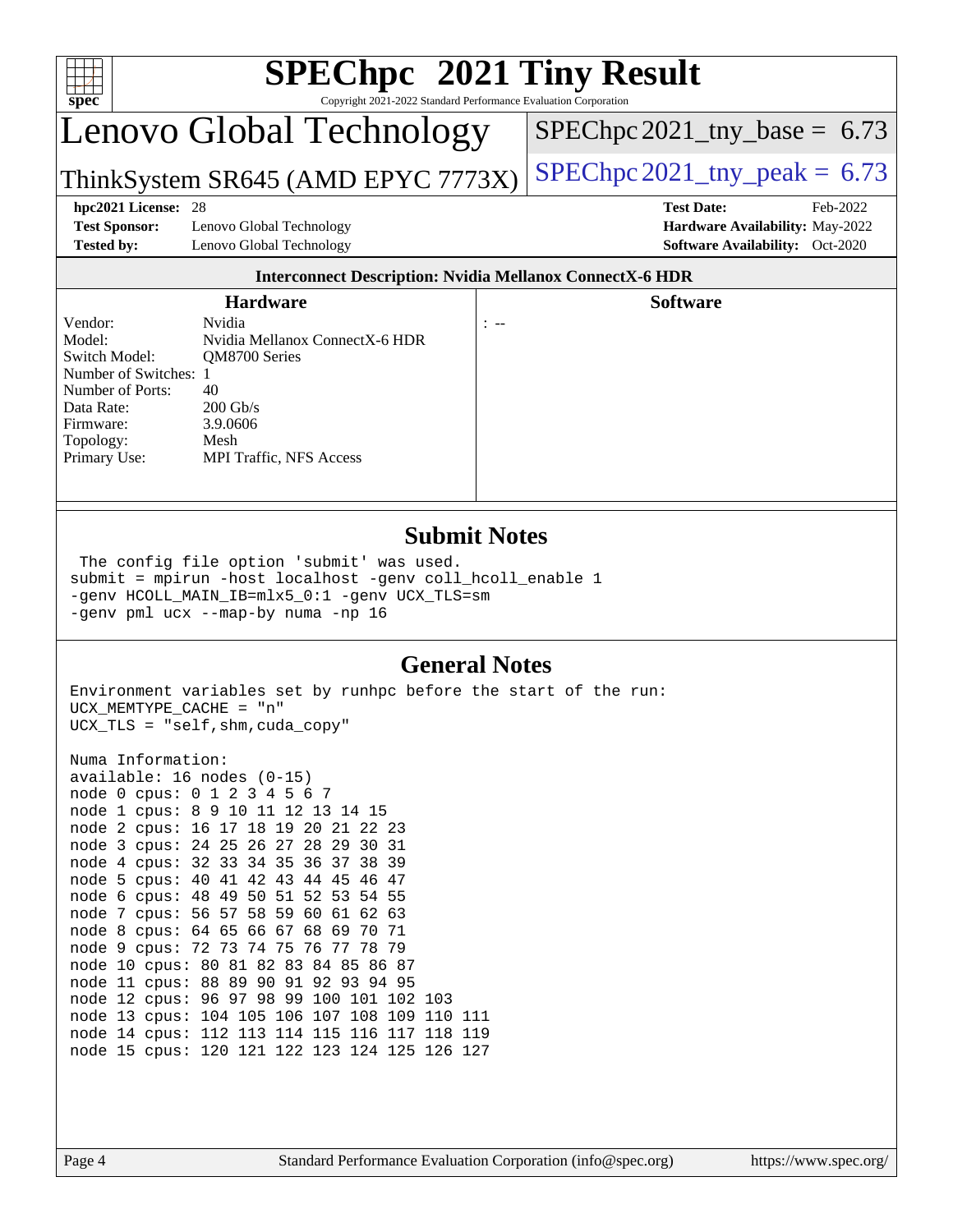| $SPEC$ hpc <sup><math>m</math></sup> 2021 Tiny Result<br>$spec^*$<br>Copyright 2021-2022 Standard Performance Evaluation Corporation    |                                                                                                                                     |                  |                                                                                                            |  |  |  |  |  |
|-----------------------------------------------------------------------------------------------------------------------------------------|-------------------------------------------------------------------------------------------------------------------------------------|------------------|------------------------------------------------------------------------------------------------------------|--|--|--|--|--|
|                                                                                                                                         | Lenovo Global Technology                                                                                                            |                  | $SPEC$ hpc 2021_tny_base = 6.73                                                                            |  |  |  |  |  |
|                                                                                                                                         | ThinkSystem SR645 (AMD EPYC 7773X)                                                                                                  |                  | $SPEC$ hpc 2021_tny_peak = 6.73                                                                            |  |  |  |  |  |
| hpc2021 License: 28<br><b>Test Sponsor:</b><br><b>Tested by:</b>                                                                        | Lenovo Global Technology<br>Lenovo Global Technology                                                                                |                  | <b>Test Date:</b><br>Feb-2022<br>Hardware Availability: May-2022<br><b>Software Availability:</b> Oct-2020 |  |  |  |  |  |
|                                                                                                                                         | <b>Interconnect Description: Nvidia Mellanox ConnectX-6 HDR</b>                                                                     |                  |                                                                                                            |  |  |  |  |  |
|                                                                                                                                         | <b>Hardware</b>                                                                                                                     |                  | <b>Software</b>                                                                                            |  |  |  |  |  |
| Vendor:<br>Model:<br>Switch Model:<br>Number of Switches: 1<br>Number of Ports:<br>Data Rate:<br>Firmware:<br>Topology:<br>Primary Use: | Nvidia<br>Nvidia Mellanox ConnectX-6 HDR<br>OM8700 Series<br>40<br>$200$ Gb/s<br>3.9.0606<br>Mesh<br><b>MPI Traffic, NFS Access</b> | $\mathcal{L}$ == |                                                                                                            |  |  |  |  |  |
|                                                                                                                                         |                                                                                                                                     |                  |                                                                                                            |  |  |  |  |  |

#### **[Submit Notes](http://www.spec.org/auto/hpc2021/Docs/result-fields.html#SubmitNotes)**

 The config file option 'submit' was used. submit = mpirun -host localhost -genv coll\_hcoll\_enable 1 -genv HCOLL\_MAIN\_IB=mlx5\_0:1 -genv UCX\_TLS=sm -genv pml ucx --map-by numa -np 16

#### **[General Notes](http://www.spec.org/auto/hpc2021/Docs/result-fields.html#GeneralNotes)**

Environment variables set by runhpc before the start of the run: UCX\_MEMTYPE\_CACHE = "n" UCX\_TLS = "self,shm,cuda\_copy"

Numa Information: available: 16 nodes (0-15) node 0 cpus: 0 1 2 3 4 5 6 7 node 1 cpus: 8 9 10 11 12 13 14 15 node 2 cpus: 16 17 18 19 20 21 22 23 node 3 cpus: 24 25 26 27 28 29 30 31 node 4 cpus: 32 33 34 35 36 37 38 39 node 5 cpus: 40 41 42 43 44 45 46 47 node 6 cpus: 48 49 50 51 52 53 54 55 node 7 cpus: 56 57 58 59 60 61 62 63 node 8 cpus: 64 65 66 67 68 69 70 71 node 9 cpus: 72 73 74 75 76 77 78 79 node 10 cpus: 80 81 82 83 84 85 86 87 node 11 cpus: 88 89 90 91 92 93 94 95 node 12 cpus: 96 97 98 99 100 101 102 103 node 13 cpus: 104 105 106 107 108 109 110 111 node 14 cpus: 112 113 114 115 116 117 118 119 node 15 cpus: 120 121 122 123 124 125 126 127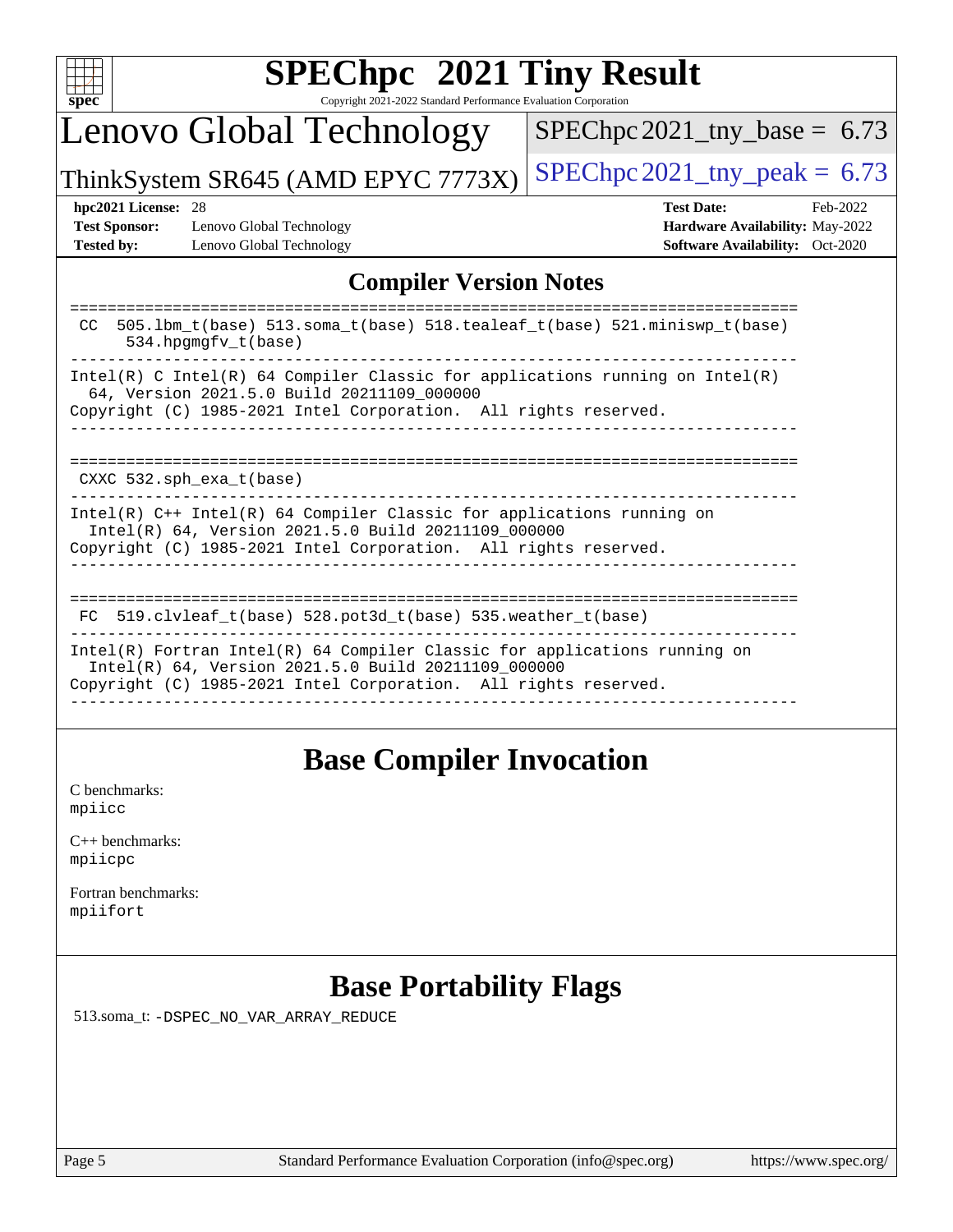| u |  |  |  |  |  |  |  |
|---|--|--|--|--|--|--|--|

# **[SPEChpc](http://www.spec.org/auto/hpc2021/Docs/result-fields.html#SPEChpc2021TinyResult) [2021 Tiny Result](http://www.spec.org/auto/hpc2021/Docs/result-fields.html#SPEChpc2021TinyResult)**

Copyright 2021-2022 Standard Performance Evaluation Corporation

# Lenovo Global Technology

 $SPEChpc2021_tny_base = 6.73$  $SPEChpc2021_tny_base = 6.73$ 

ThinkSystem SR645 (AMD EPYC 7773X) SPEChpc  $2021$ \_tny\_peak = 6.73

**[Test Sponsor:](http://www.spec.org/auto/hpc2021/Docs/result-fields.html#TestSponsor)** Lenovo Global Technology **[Hardware Availability:](http://www.spec.org/auto/hpc2021/Docs/result-fields.html#HardwareAvailability)** May-2022 **[Tested by:](http://www.spec.org/auto/hpc2021/Docs/result-fields.html#Testedby)** Lenovo Global Technology **[Software Availability:](http://www.spec.org/auto/hpc2021/Docs/result-fields.html#SoftwareAvailability)** Oct-2020

**[hpc2021 License:](http://www.spec.org/auto/hpc2021/Docs/result-fields.html#hpc2021License)** 28 **[Test Date:](http://www.spec.org/auto/hpc2021/Docs/result-fields.html#TestDate)** Feb-2022

### **[Compiler Version Notes](http://www.spec.org/auto/hpc2021/Docs/result-fields.html#CompilerVersionNotes)**

| 505.1bm_t(base) 513.soma_t(base) 518.tealeaf_t(base) 521.miniswp_t(base)<br>CC.<br>$534.$ hpqmqfv t(base)                                                                                             |
|-------------------------------------------------------------------------------------------------------------------------------------------------------------------------------------------------------|
| Intel(R) C Intel(R) 64 Compiler Classic for applications running on Intel(R)<br>64, Version 2021.5.0 Build 20211109 000000<br>Copyright (C) 1985-2021 Intel Corporation. All rights reserved.         |
| $CXXC$ 532.sph exa $t(base)$                                                                                                                                                                          |
| $Intel(R)$ C++ Intel(R) 64 Compiler Classic for applications running on<br>Intel(R) 64, Version 2021.5.0 Build 20211109_000000<br>Copyright (C) 1985-2021 Intel Corporation. All rights reserved.     |
| ===========================<br>519.clvleaf t(base) 528.pot3d t(base) 535.weather t(base)<br>FC.                                                                                                       |
| Intel(R) Fortran Intel(R) $64$ Compiler Classic for applications running on<br>Intel(R) 64, Version 2021.5.0 Build 20211109_000000<br>Copyright (C) 1985-2021 Intel Corporation. All rights reserved. |
|                                                                                                                                                                                                       |

### **[Base Compiler Invocation](http://www.spec.org/auto/hpc2021/Docs/result-fields.html#BaseCompilerInvocation)**

[C benchmarks](http://www.spec.org/auto/hpc2021/Docs/result-fields.html#Cbenchmarks): [mpiicc](https://www.spec.org/hpc2021/results/res2022q1/hpc2021-20220221-00079.flags.html#user_CCbase_mpiicc)

| $C_{++}$ benchmarks: |
|----------------------|
| mpiicpc              |

[Fortran benchmarks](http://www.spec.org/auto/hpc2021/Docs/result-fields.html#Fortranbenchmarks): [mpiifort](https://www.spec.org/hpc2021/results/res2022q1/hpc2021-20220221-00079.flags.html#user_FCbase_mpiifort)

## **[Base Portability Flags](http://www.spec.org/auto/hpc2021/Docs/result-fields.html#BasePortabilityFlags)**

513.soma\_t: [-DSPEC\\_NO\\_VAR\\_ARRAY\\_REDUCE](https://www.spec.org/hpc2021/results/res2022q1/hpc2021-20220221-00079.flags.html#b513.soma_t_basePORTABILITY_DSPEC_NO_VAR_ARRAY_REDUCE)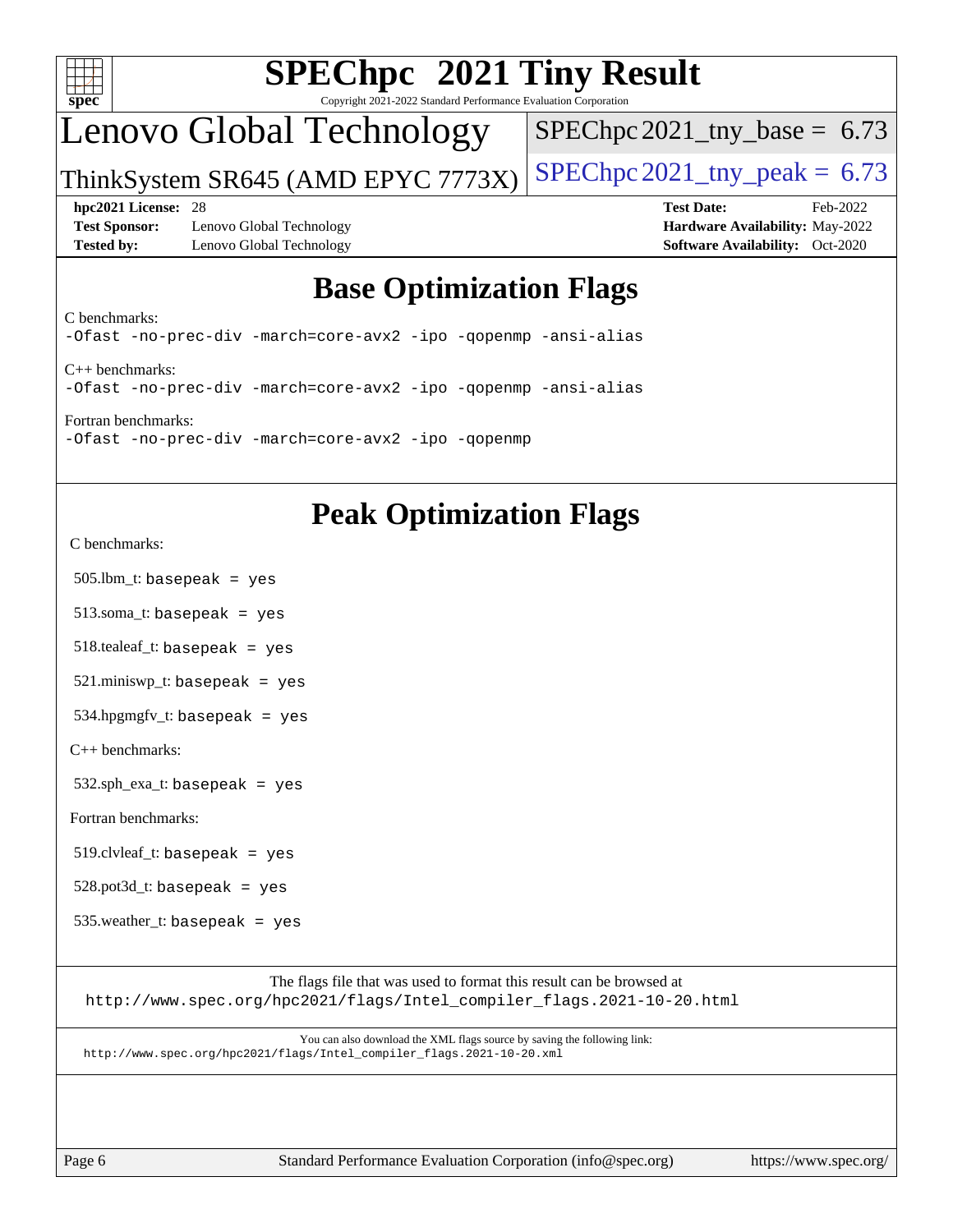

# **[SPEChpc](http://www.spec.org/auto/hpc2021/Docs/result-fields.html#SPEChpc2021TinyResult) [2021 Tiny Result](http://www.spec.org/auto/hpc2021/Docs/result-fields.html#SPEChpc2021TinyResult)**

Copyright 2021-2022 Standard Performance Evaluation Corporation

## Lenovo Global Technology

SPEChpc 2021 tny base =  $6.73$ 

ThinkSystem SR645 (AMD EPYC 7773X) SPEChpc  $2021$ \_tny\_peak = 6.73

**[Test Sponsor:](http://www.spec.org/auto/hpc2021/Docs/result-fields.html#TestSponsor)** Lenovo Global Technology **[Hardware Availability:](http://www.spec.org/auto/hpc2021/Docs/result-fields.html#HardwareAvailability)** May-2022 **[Tested by:](http://www.spec.org/auto/hpc2021/Docs/result-fields.html#Testedby)** Lenovo Global Technology **[Software Availability:](http://www.spec.org/auto/hpc2021/Docs/result-fields.html#SoftwareAvailability)** Oct-2020

**[hpc2021 License:](http://www.spec.org/auto/hpc2021/Docs/result-fields.html#hpc2021License)** 28 **[Test Date:](http://www.spec.org/auto/hpc2021/Docs/result-fields.html#TestDate)** Feb-2022

## **[Base Optimization Flags](http://www.spec.org/auto/hpc2021/Docs/result-fields.html#BaseOptimizationFlags)**

[C benchmarks](http://www.spec.org/auto/hpc2021/Docs/result-fields.html#Cbenchmarks):

[-Ofast](https://www.spec.org/hpc2021/results/res2022q1/hpc2021-20220221-00079.flags.html#user_CCbase_Ofast) [-no-prec-div](https://www.spec.org/hpc2021/results/res2022q1/hpc2021-20220221-00079.flags.html#user_CCbase_f-no-prec-div) [-march=core-avx2](https://www.spec.org/hpc2021/results/res2022q1/hpc2021-20220221-00079.flags.html#user_CCbase_CORE-AVX2_2c5997f98352d7dc5789dcce7df29e0d7599b38cc63680298b9b0ef26c2ad2ab61de257451908bf5a6f8d32cb814b956b4f5166216751d3810af5e69876dd450) [-ipo](https://www.spec.org/hpc2021/results/res2022q1/hpc2021-20220221-00079.flags.html#user_CCbase_f-ipo) [-qopenmp](https://www.spec.org/hpc2021/results/res2022q1/hpc2021-20220221-00079.flags.html#user_CCbase_qopenmp) [-ansi-alias](https://www.spec.org/hpc2021/results/res2022q1/hpc2021-20220221-00079.flags.html#user_CCbase_f-ansi-alias) [C++ benchmarks](http://www.spec.org/auto/hpc2021/Docs/result-fields.html#CXXbenchmarks): [-Ofast](https://www.spec.org/hpc2021/results/res2022q1/hpc2021-20220221-00079.flags.html#user_CXXbase_Ofast) [-no-prec-div](https://www.spec.org/hpc2021/results/res2022q1/hpc2021-20220221-00079.flags.html#user_CXXbase_f-no-prec-div) [-march=core-avx2](https://www.spec.org/hpc2021/results/res2022q1/hpc2021-20220221-00079.flags.html#user_CXXbase_CORE-AVX2_2c5997f98352d7dc5789dcce7df29e0d7599b38cc63680298b9b0ef26c2ad2ab61de257451908bf5a6f8d32cb814b956b4f5166216751d3810af5e69876dd450) [-ipo](https://www.spec.org/hpc2021/results/res2022q1/hpc2021-20220221-00079.flags.html#user_CXXbase_f-ipo) [-qopenmp](https://www.spec.org/hpc2021/results/res2022q1/hpc2021-20220221-00079.flags.html#user_CXXbase_qopenmp) [-ansi-alias](https://www.spec.org/hpc2021/results/res2022q1/hpc2021-20220221-00079.flags.html#user_CXXbase_f-ansi-alias)

[Fortran benchmarks:](http://www.spec.org/auto/hpc2021/Docs/result-fields.html#Fortranbenchmarks) [-Ofast](https://www.spec.org/hpc2021/results/res2022q1/hpc2021-20220221-00079.flags.html#user_FCbase_Ofast) [-no-prec-div](https://www.spec.org/hpc2021/results/res2022q1/hpc2021-20220221-00079.flags.html#user_FCbase_f-no-prec-div) [-march=core-avx2](https://www.spec.org/hpc2021/results/res2022q1/hpc2021-20220221-00079.flags.html#user_FCbase_CORE-AVX2_2c5997f98352d7dc5789dcce7df29e0d7599b38cc63680298b9b0ef26c2ad2ab61de257451908bf5a6f8d32cb814b956b4f5166216751d3810af5e69876dd450) [-ipo](https://www.spec.org/hpc2021/results/res2022q1/hpc2021-20220221-00079.flags.html#user_FCbase_f-ipo) [-qopenmp](https://www.spec.org/hpc2021/results/res2022q1/hpc2021-20220221-00079.flags.html#user_FCbase_qopenmp)

## **[Peak Optimization Flags](http://www.spec.org/auto/hpc2021/Docs/result-fields.html#PeakOptimizationFlags)**

[C benchmarks](http://www.spec.org/auto/hpc2021/Docs/result-fields.html#Cbenchmarks):

505.lbm\_t: basepeak = yes

513.soma\_t: basepeak = yes

518.tealeaf\_t: basepeak = yes

 $521$ .miniswp\_t: basepeak = yes

534.hpgmgfv\_t: basepeak = yes

[C++ benchmarks:](http://www.spec.org/auto/hpc2021/Docs/result-fields.html#CXXbenchmarks)

 $532.\text{sph\_exa\_t: basepeak}$  = yes

[Fortran benchmarks](http://www.spec.org/auto/hpc2021/Docs/result-fields.html#Fortranbenchmarks):

 $519$ .clvleaf\_t: basepeak = yes

 $528.$ pot $3d_t$ : basepeak = yes

535.weather\_t: basepeak = yes

The flags file that was used to format this result can be browsed at [http://www.spec.org/hpc2021/flags/Intel\\_compiler\\_flags.2021-10-20.html](http://www.spec.org/hpc2021/flags/Intel_compiler_flags.2021-10-20.html)

You can also download the XML flags source by saving the following link: [http://www.spec.org/hpc2021/flags/Intel\\_compiler\\_flags.2021-10-20.xml](http://www.spec.org/hpc2021/flags/Intel_compiler_flags.2021-10-20.xml)